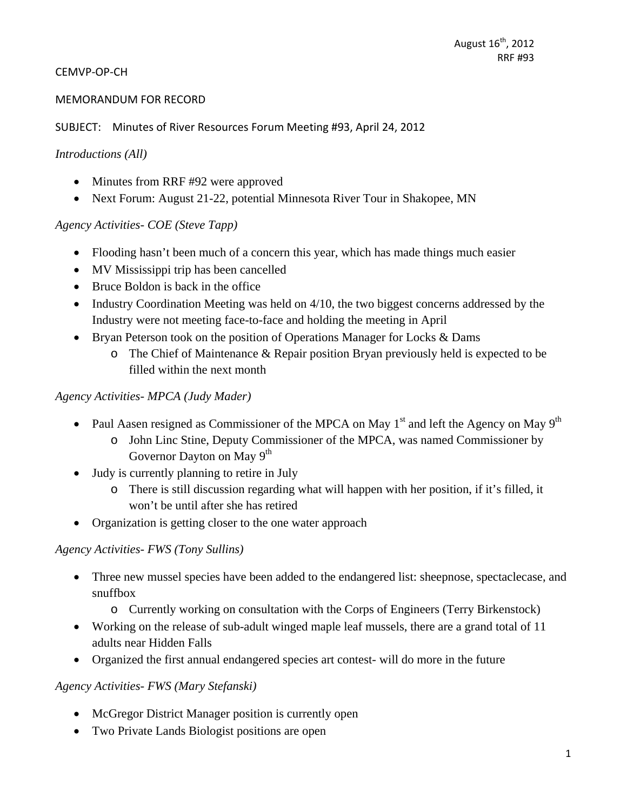#### CEMVP‐OP‐CH

#### MEMORANDUM FOR RECORD

SUBJECT: Minutes of River Resources Forum Meeting #93, April 24, 2012

#### *Introductions (All)*

- Minutes from RRF #92 were approved
- Next Forum: August 21-22, potential Minnesota River Tour in Shakopee, MN

#### *Agency Activities- COE (Steve Tapp)*

- Flooding hasn't been much of a concern this year, which has made things much easier
- MV Mississippi trip has been cancelled
- Bruce Boldon is back in the office
- Industry Coordination Meeting was held on 4/10, the two biggest concerns addressed by the Industry were not meeting face-to-face and holding the meeting in April
- Bryan Peterson took on the position of Operations Manager for Locks & Dams
	- o The Chief of Maintenance & Repair position Bryan previously held is expected to be filled within the next month

#### *Agency Activities- MPCA (Judy Mader)*

- Paul Aasen resigned as Commissioner of the MPCA on May  $1<sup>st</sup>$  and left the Agency on May  $9<sup>th</sup>$ 
	- o John Linc Stine, Deputy Commissioner of the MPCA, was named Commissioner by Governor Dayton on May 9<sup>th</sup>
- Judy is currently planning to retire in July
	- o There is still discussion regarding what will happen with her position, if it's filled, it won't be until after she has retired
- Organization is getting closer to the one water approach

#### *Agency Activities- FWS (Tony Sullins)*

- Three new mussel species have been added to the endangered list: sheepnose, spectaclecase, and snuffbox
	- o Currently working on consultation with the Corps of Engineers (Terry Birkenstock)
- Working on the release of sub-adult winged maple leaf mussels, there are a grand total of 11 adults near Hidden Falls
- Organized the first annual endangered species art contest- will do more in the future

#### *Agency Activities- FWS (Mary Stefanski)*

- McGregor District Manager position is currently open
- Two Private Lands Biologist positions are open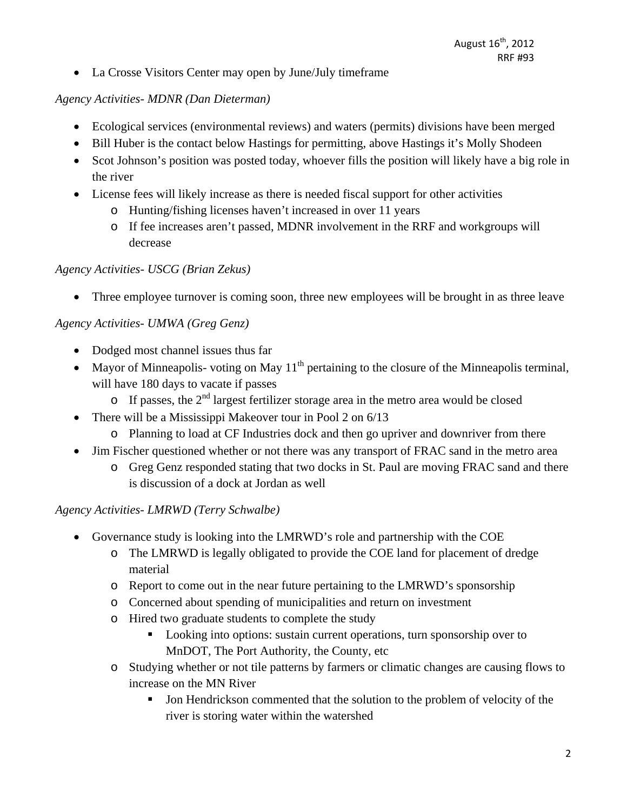La Crosse Visitors Center may open by June/July timeframe

### *Agency Activities- MDNR (Dan Dieterman)*

- Ecological services (environmental reviews) and waters (permits) divisions have been merged
- Bill Huber is the contact below Hastings for permitting, above Hastings it's Molly Shodeen
- Scot Johnson's position was posted today, whoever fills the position will likely have a big role in the river
- License fees will likely increase as there is needed fiscal support for other activities
	- o Hunting/fishing licenses haven't increased in over 11 years
	- o If fee increases aren't passed, MDNR involvement in the RRF and workgroups will decrease

### *Agency Activities- USCG (Brian Zekus)*

• Three employee turnover is coming soon, three new employees will be brought in as three leave

### *Agency Activities- UMWA (Greg Genz)*

- Dodged most channel issues thus far
- Mayor of Minneapolis- voting on May  $11<sup>th</sup>$  pertaining to the closure of the Minneapolis terminal, will have 180 days to vacate if passes
	- $\circ$  If passes, the 2<sup>nd</sup> largest fertilizer storage area in the metro area would be closed
- There will be a Mississippi Makeover tour in Pool 2 on 6/13
	- o Planning to load at CF Industries dock and then go upriver and downriver from there
- Jim Fischer questioned whether or not there was any transport of FRAC sand in the metro area
	- o Greg Genz responded stating that two docks in St. Paul are moving FRAC sand and there is discussion of a dock at Jordan as well

# *Agency Activities- LMRWD (Terry Schwalbe)*

- Governance study is looking into the LMRWD's role and partnership with the COE
	- o The LMRWD is legally obligated to provide the COE land for placement of dredge material
	- o Report to come out in the near future pertaining to the LMRWD's sponsorship
	- o Concerned about spending of municipalities and return on investment
	- o Hired two graduate students to complete the study
		- Looking into options: sustain current operations, turn sponsorship over to MnDOT, The Port Authority, the County, etc
	- o Studying whether or not tile patterns by farmers or climatic changes are causing flows to increase on the MN River
		- If Jon Hendrickson commented that the solution to the problem of velocity of the river is storing water within the watershed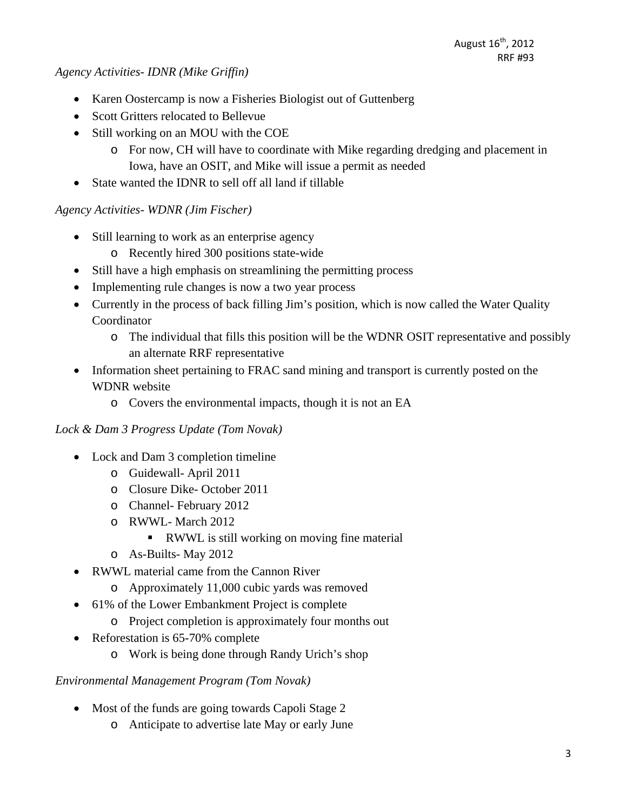#### *Agency Activities- IDNR (Mike Griffin)*

- Karen Oostercamp is now a Fisheries Biologist out of Guttenberg
- Scott Gritters relocated to Bellevue
- Still working on an MOU with the COE
	- o For now, CH will have to coordinate with Mike regarding dredging and placement in Iowa, have an OSIT, and Mike will issue a permit as needed
- State wanted the IDNR to sell off all land if tillable

# *Agency Activities- WDNR (Jim Fischer)*

- Still learning to work as an enterprise agency
	- o Recently hired 300 positions state-wide
- Still have a high emphasis on streamlining the permitting process
- Implementing rule changes is now a two year process
- Currently in the process of back filling Jim's position, which is now called the Water Quality Coordinator
	- o The individual that fills this position will be the WDNR OSIT representative and possibly an alternate RRF representative
- Information sheet pertaining to FRAC sand mining and transport is currently posted on the WDNR website
	- o Covers the environmental impacts, though it is not an EA

# *Lock & Dam 3 Progress Update (Tom Novak)*

- Lock and Dam 3 completion timeline
	- o Guidewall- April 2011
	- o Closure Dike- October 2011
	- o Channel- February 2012
	- o RWWL- March 2012
		- RWWL is still working on moving fine material
	- o As-Builts- May 2012
- RWWL material came from the Cannon River
	- o Approximately 11,000 cubic yards was removed
- 61% of the Lower Embankment Project is complete
	- o Project completion is approximately four months out
- Reforestation is 65-70% complete
	- o Work is being done through Randy Urich's shop

#### *Environmental Management Program (Tom Novak)*

- Most of the funds are going towards Capoli Stage 2
	- o Anticipate to advertise late May or early June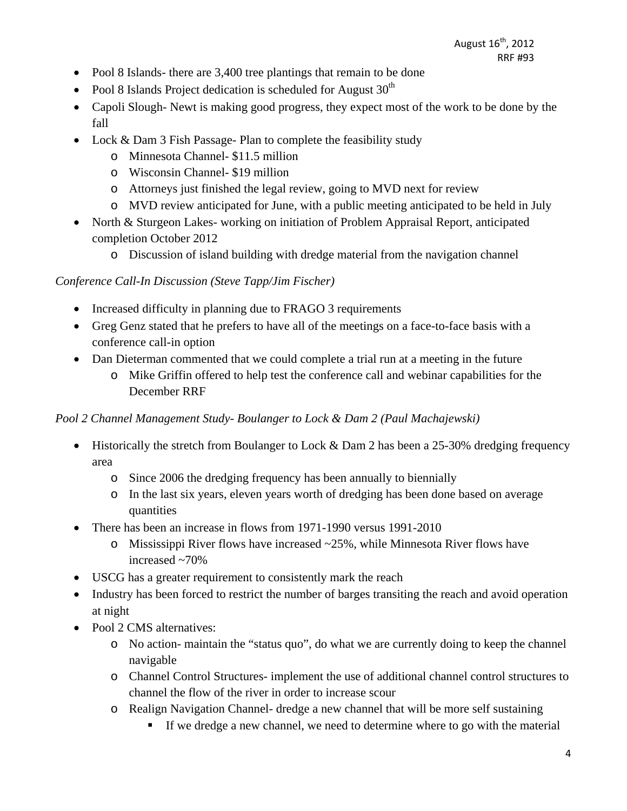- Pool 8 Islands- there are 3,400 tree plantings that remain to be done
- Pool 8 Islands Project dedication is scheduled for August  $30<sup>th</sup>$
- Capoli Slough- Newt is making good progress, they expect most of the work to be done by the fall
- Lock & Dam 3 Fish Passage- Plan to complete the feasibility study
	- o Minnesota Channel- \$11.5 million
	- o Wisconsin Channel- \$19 million
	- o Attorneys just finished the legal review, going to MVD next for review
	- o MVD review anticipated for June, with a public meeting anticipated to be held in July
- North & Sturgeon Lakes- working on initiation of Problem Appraisal Report, anticipated completion October 2012
	- o Discussion of island building with dredge material from the navigation channel

# *Conference Call-In Discussion (Steve Tapp/Jim Fischer)*

- Increased difficulty in planning due to FRAGO 3 requirements
- Greg Genz stated that he prefers to have all of the meetings on a face-to-face basis with a conference call-in option
- Dan Dieterman commented that we could complete a trial run at a meeting in the future
	- o Mike Griffin offered to help test the conference call and webinar capabilities for the December RRF

# *Pool 2 Channel Management Study- Boulanger to Lock & Dam 2 (Paul Machajewski)*

- Historically the stretch from Boulanger to Lock & Dam 2 has been a 25-30% dredging frequency area
	- o Since 2006 the dredging frequency has been annually to biennially
	- o In the last six years, eleven years worth of dredging has been done based on average quantities
- There has been an increase in flows from 1971-1990 versus 1991-2010
	- o Mississippi River flows have increased ~25%, while Minnesota River flows have increased ~70%
- USCG has a greater requirement to consistently mark the reach
- Industry has been forced to restrict the number of barges transiting the reach and avoid operation at night
- Pool 2 CMS alternatives:
	- o No action- maintain the "status quo", do what we are currently doing to keep the channel navigable
	- o Channel Control Structures- implement the use of additional channel control structures to channel the flow of the river in order to increase scour
	- o Realign Navigation Channel- dredge a new channel that will be more self sustaining
		- If we dredge a new channel, we need to determine where to go with the material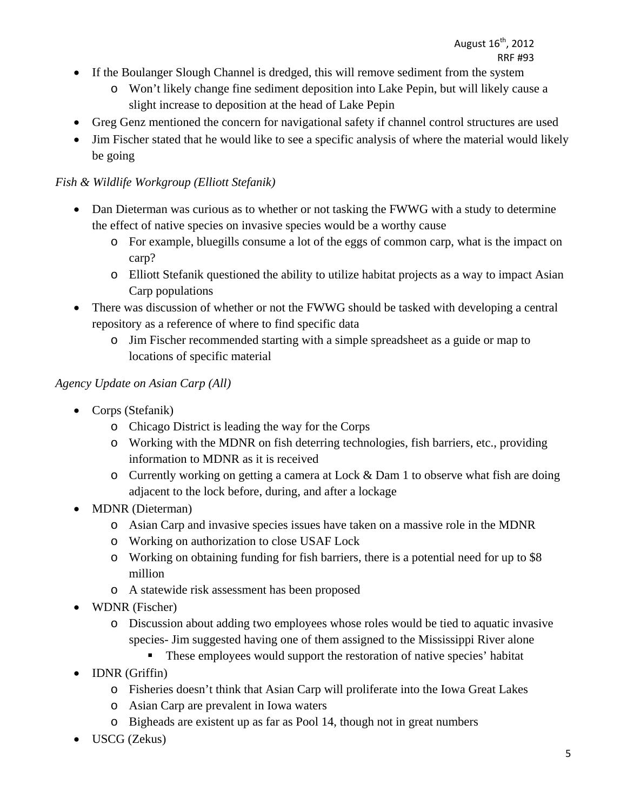- If the Boulanger Slough Channel is dredged, this will remove sediment from the system
	- o Won't likely change fine sediment deposition into Lake Pepin, but will likely cause a slight increase to deposition at the head of Lake Pepin
- Greg Genz mentioned the concern for navigational safety if channel control structures are used
- Jim Fischer stated that he would like to see a specific analysis of where the material would likely be going

# *Fish & Wildlife Workgroup (Elliott Stefanik)*

- Dan Dieterman was curious as to whether or not tasking the FWWG with a study to determine the effect of native species on invasive species would be a worthy cause
	- o For example, bluegills consume a lot of the eggs of common carp, what is the impact on carp?
	- o Elliott Stefanik questioned the ability to utilize habitat projects as a way to impact Asian Carp populations
- There was discussion of whether or not the FWWG should be tasked with developing a central repository as a reference of where to find specific data
	- o Jim Fischer recommended starting with a simple spreadsheet as a guide or map to locations of specific material

### *Agency Update on Asian Carp (All)*

- Corps (Stefanik)
	- o Chicago District is leading the way for the Corps
	- o Working with the MDNR on fish deterring technologies, fish barriers, etc., providing information to MDNR as it is received
	- o Currently working on getting a camera at Lock & Dam 1 to observe what fish are doing adjacent to the lock before, during, and after a lockage
- MDNR (Dieterman)
	- o Asian Carp and invasive species issues have taken on a massive role in the MDNR
	- o Working on authorization to close USAF Lock
	- o Working on obtaining funding for fish barriers, there is a potential need for up to \$8 million
	- o A statewide risk assessment has been proposed
- WDNR (Fischer)
	- o Discussion about adding two employees whose roles would be tied to aquatic invasive species- Jim suggested having one of them assigned to the Mississippi River alone
		- These employees would support the restoration of native species' habitat
- IDNR (Griffin)
	- o Fisheries doesn't think that Asian Carp will proliferate into the Iowa Great Lakes
	- o Asian Carp are prevalent in Iowa waters
	- o Bigheads are existent up as far as Pool 14, though not in great numbers
- USCG (Zekus)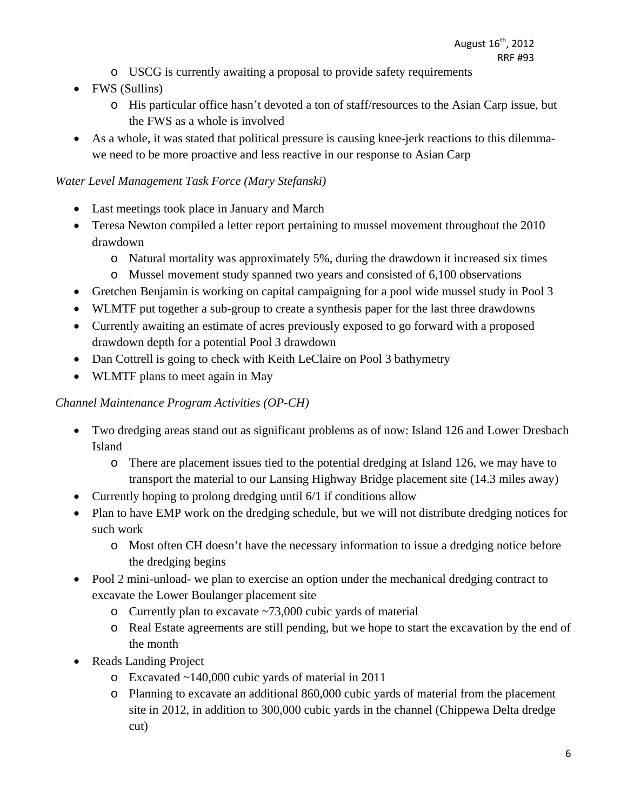- o USCG is currently awaiting a proposal to provide safety requirements
- FWS (Sullins)
	- o His particular office hasn't devoted a ton of staff/resources to the Asian Carp issue, but the FWS as a whole is involved
- As a whole, it was stated that political pressure is causing knee-jerk reactions to this dilemmawe need to be more proactive and less reactive in our response to Asian Carp

# *Water Level Management Task Force (Mary Stefanski)*

- Last meetings took place in January and March
- Teresa Newton compiled a letter report pertaining to mussel movement throughout the 2010 drawdown
	- o Natural mortality was approximately 5%, during the drawdown it increased six times
	- o Mussel movement study spanned two years and consisted of 6,100 observations
- Gretchen Benjamin is working on capital campaigning for a pool wide mussel study in Pool 3
- WLMTF put together a sub-group to create a synthesis paper for the last three drawdowns
- Currently awaiting an estimate of acres previously exposed to go forward with a proposed drawdown depth for a potential Pool 3 drawdown
- Dan Cottrell is going to check with Keith LeClaire on Pool 3 bathymetry
- WLMTF plans to meet again in May

# *Channel Maintenance Program Activities (OP-CH)*

- Two dredging areas stand out as significant problems as of now: Island 126 and Lower Dresbach Island
	- o There are placement issues tied to the potential dredging at Island 126, we may have to transport the material to our Lansing Highway Bridge placement site (14.3 miles away)
- Currently hoping to prolong dredging until 6/1 if conditions allow
- Plan to have EMP work on the dredging schedule, but we will not distribute dredging notices for such work
	- o Most often CH doesn't have the necessary information to issue a dredging notice before the dredging begins
- Pool 2 mini-unload- we plan to exercise an option under the mechanical dredging contract to excavate the Lower Boulanger placement site
	- o Currently plan to excavate ~73,000 cubic yards of material
	- o Real Estate agreements are still pending, but we hope to start the excavation by the end of the month
- Reads Landing Project
	- o Excavated ~140,000 cubic yards of material in 2011
	- o Planning to excavate an additional 860,000 cubic yards of material from the placement site in 2012, in addition to 300,000 cubic yards in the channel (Chippewa Delta dredge cut)